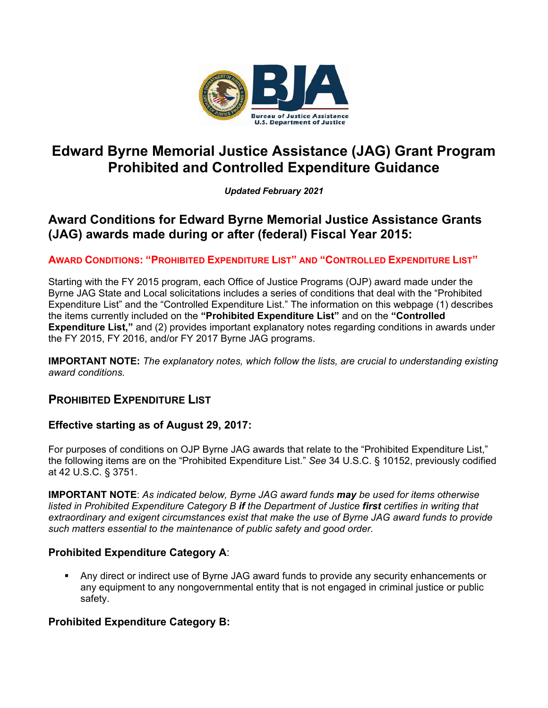

# **Edward Byrne Memorial Justice Assistance (JAG) Grant Program Prohibited and Controlled Expenditure Guidance**

*Updated February 2021*

# **Award Conditions for Edward Byrne Memorial Justice Assistance Grants (JAG) awards made during or after (federal) Fiscal Year 2015:**

## **AWARD CONDITIONS: "PROHIBITED EXPENDITURE LIST" AND "CONTROLLED EXPENDITURE LIST"**

Starting with the FY 2015 program, each Office of Justice Programs (OJP) award made under the Byrne JAG State and Local solicitations includes a series of conditions that deal with the "Prohibited Expenditure List" and the "Controlled Expenditure List." The information on this webpage (1) describes the items currently included on the **"Prohibited Expenditure List"** and on the **"Controlled Expenditure List,"** and (2) provides important explanatory notes regarding conditions in awards under the FY 2015, FY 2016, and/or FY 2017 Byrne JAG programs.

**IMPORTANT NOTE:** *The explanatory notes, which follow the lists, are crucial to understanding existing award conditions.*

## **PROHIBITED EXPENDITURE LIST**

### **Effective starting as of August 29, 2017:**

For purposes of conditions on OJP Byrne JAG awards that relate to the "Prohibited Expenditure List," the following items are on the "Prohibited Expenditure List." *See* 34 U.S.C. § 10152, previously codified at 42 U.S.C. § 3751.

**IMPORTANT NOTE**: *As indicated below, Byrne JAG award funds may be used for items otherwise listed in Prohibited Expenditure Category B if the Department of Justice first certifies in writing that extraordinary and exigent circumstances exist that make the use of Byrne JAG award funds to provide such matters essential to the maintenance of public safety and good order.* 

## **Prohibited Expenditure Category A**:

 Any direct or indirect use of Byrne JAG award funds to provide any security enhancements or any equipment to any nongovernmental entity that is not engaged in criminal justice or public safety.

## **Prohibited Expenditure Category B:**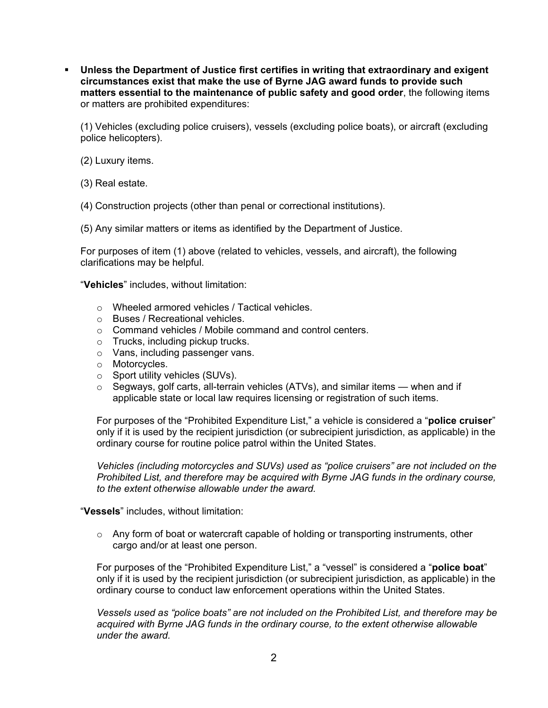**Unless the Department of Justice first certifies in writing that extraordinary and exigent circumstances exist that make the use of Byrne JAG award funds to provide such matters essential to the maintenance of public safety and good order**, the following items or matters are prohibited expenditures:

(1) Vehicles (excluding police cruisers), vessels (excluding police boats), or aircraft (excluding police helicopters).

(2) Luxury items.

(3) Real estate.

(4) Construction projects (other than penal or correctional institutions).

(5) Any similar matters or items as identified by the Department of Justice.

For purposes of item (1) above (related to vehicles, vessels, and aircraft), the following clarifications may be helpful.

"**Vehicles**" includes, without limitation:

- o Wheeled armored vehicles / Tactical vehicles.
- o Buses / Recreational vehicles.
- o Command vehicles / Mobile command and control centers.
- o Trucks, including pickup trucks.
- o Vans, including passenger vans.
- o Motorcycles.
- o Sport utility vehicles (SUVs).
- $\circ$  Segways, golf carts, all-terrain vehicles (ATVs), and similar items when and if applicable state or local law requires licensing or registration of such items.

For purposes of the "Prohibited Expenditure List," a vehicle is considered a "**police cruiser**" only if it is used by the recipient jurisdiction (or subrecipient jurisdiction, as applicable) in the ordinary course for routine police patrol within the United States.

*Vehicles (including motorcycles and SUVs) used as "police cruisers" are not included on the Prohibited List, and therefore may be acquired with Byrne JAG funds in the ordinary course, to the extent otherwise allowable under the award.*

"**Vessels**" includes, without limitation:

 $\circ$  Any form of boat or watercraft capable of holding or transporting instruments, other cargo and/or at least one person.

For purposes of the "Prohibited Expenditure List," a "vessel" is considered a "**police boat**" only if it is used by the recipient jurisdiction (or subrecipient jurisdiction, as applicable) in the ordinary course to conduct law enforcement operations within the United States.

*Vessels used as "police boats" are not included on the Prohibited List, and therefore may be acquired with Byrne JAG funds in the ordinary course, to the extent otherwise allowable under the award.*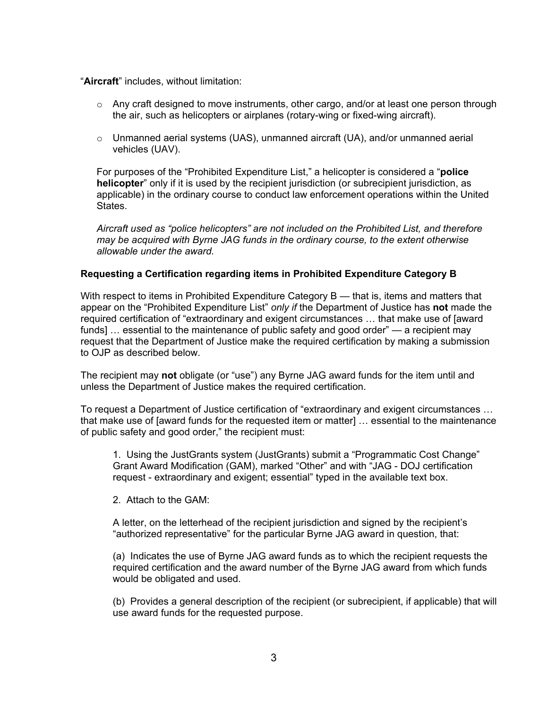"**Aircraft**" includes, without limitation:

- $\circ$  Any craft designed to move instruments, other cargo, and/or at least one person through the air, such as helicopters or airplanes (rotary-wing or fixed-wing aircraft).
- $\circ$  Unmanned aerial systems (UAS), unmanned aircraft (UA), and/or unmanned aerial vehicles (UAV).

For purposes of the "Prohibited Expenditure List," a helicopter is considered a "**police helicopter**" only if it is used by the recipient jurisdiction (or subrecipient jurisdiction, as applicable) in the ordinary course to conduct law enforcement operations within the United States.

*Aircraft used as "police helicopters" are not included on the Prohibited List, and therefore may be acquired with Byrne JAG funds in the ordinary course, to the extent otherwise allowable under the award.*

#### **Requesting a Certification regarding items in Prohibited Expenditure Category B**

With respect to items in Prohibited Expenditure Category B — that is, items and matters that appear on the "Prohibited Expenditure List" *only if* the Department of Justice has **not** made the required certification of "extraordinary and exigent circumstances … that make use of [award funds] ... essential to the maintenance of public safety and good order" — a recipient may request that the Department of Justice make the required certification by making a submission to OJP as described below.

The recipient may **not** obligate (or "use") any Byrne JAG award funds for the item until and unless the Department of Justice makes the required certification.

To request a Department of Justice certification of "extraordinary and exigent circumstances … that make use of [award funds for the requested item or matter] … essential to the maintenance of public safety and good order," the recipient must:

1. Using the JustGrants system (JustGrants) submit a "Programmatic Cost Change" Grant Award Modification (GAM), marked "Other" and with "JAG - DOJ certification request - extraordinary and exigent; essential" typed in the available text box.

2. Attach to the GAM:

A letter, on the letterhead of the recipient jurisdiction and signed by the recipient's "authorized representative" for the particular Byrne JAG award in question, that:

(a) Indicates the use of Byrne JAG award funds as to which the recipient requests the required certification and the award number of the Byrne JAG award from which funds would be obligated and used.

(b) Provides a general description of the recipient (or subrecipient, if applicable) that will use award funds for the requested purpose.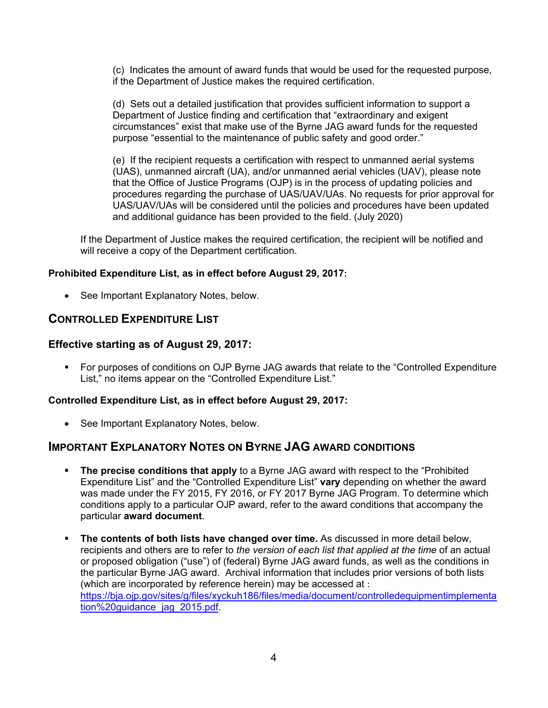(c) Indicates the amount of award funds that would be used for the requested purpose, if the Department of Justice makes the required certification.

(d) Sets out a detailed justification that provides sufficient information to support a Department of Justice finding and certification that "extraordinary and exigent circumstances" exist that make use of the Byrne JAG award funds for the requested purpose "essential to the maintenance of public safety and good order."

(e) If the recipient requests a certification with respect to unmanned aerial systems (UAS), unmanned aircraft (UA), and/or unmanned aerial vehicles (UAV), please note that the Office of Justice Programs (OJP) is in the process of updating policies and procedures regarding the purchase of UAS/UAV/UAs. No requests for prior approval for UAS/UAV/UAs will be considered until the policies and procedures have been updated and additional guidance has been provided to the field. (July 2020)

If the Department of Justice makes the required certification, the recipient will be notified and will receive a copy of the Department certification.

#### **Prohibited Expenditure List, as in effect before August 29, 2017:**

• See Important Explanatory Notes, below.

## **CONTROLLED EXPENDITURE LIST**

### **Effective starting as of August 29, 2017:**

 For purposes of conditions on OJP Byrne JAG awards that relate to the "Controlled Expenditure List," no items appear on the "Controlled Expenditure List."

### **Controlled Expenditure List, as in effect before August 29, 2017:**

• See Important Explanatory Notes, below.

## **IMPORTANT EXPLANATORY NOTES ON BYRNE JAG AWARD CONDITIONS**

- **The precise conditions that apply** to a Byrne JAG award with respect to the "Prohibited Expenditure List" and the "Controlled Expenditure List" **vary** depending on whether the award was made under the FY 2015, FY 2016, or FY 2017 Byrne JAG Program. To determine which conditions apply to a particular OJP award, refer to the award conditions that accompany the particular **award document**.
- **The contents of both lists have changed over time.** As discussed in more detail below, recipients and others are to refer to *the version of each list that applied at the time* of an actual or proposed obligation ("use") of (federal) Byrne JAG award funds, as well as the conditions in the particular Byrne JAG award. Archival information that includes prior versions of both lists (which are incorporated by reference herein) may be accessed at : [https://bja.ojp.gov/sites/g/files/xyckuh186/files/media/document/controlledequipmentimplementa](https://bja.ojp.gov/sites/g/files/xyckuh186/files/media/document/controlledequipmentimplementation%20guidance_jag_2015.pdf) tion%20quidance\_jag\_2015.pdf.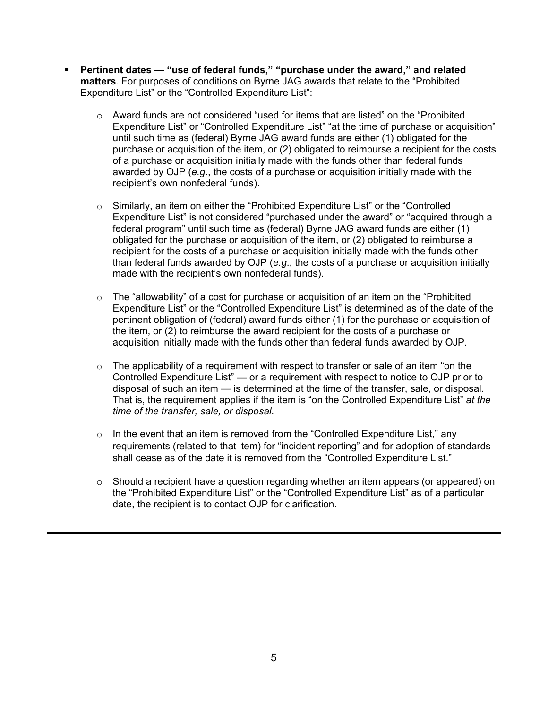- **Pertinent dates — "use of federal funds," "purchase under the award," and related matters**. For purposes of conditions on Byrne JAG awards that relate to the "Prohibited Expenditure List" or the "Controlled Expenditure List":
	- $\circ$  Award funds are not considered "used for items that are listed" on the "Prohibited" Expenditure List" or "Controlled Expenditure List" "at the time of purchase or acquisition" until such time as (federal) Byrne JAG award funds are either (1) obligated for the purchase or acquisition of the item, or (2) obligated to reimburse a recipient for the costs of a purchase or acquisition initially made with the funds other than federal funds awarded by OJP (*e.g*., the costs of a purchase or acquisition initially made with the recipient's own nonfederal funds).
	- o Similarly, an item on either the "Prohibited Expenditure List" or the "Controlled Expenditure List" is not considered "purchased under the award" or "acquired through a federal program" until such time as (federal) Byrne JAG award funds are either (1) obligated for the purchase or acquisition of the item, or (2) obligated to reimburse a recipient for the costs of a purchase or acquisition initially made with the funds other than federal funds awarded by OJP (*e.g*., the costs of a purchase or acquisition initially made with the recipient's own nonfederal funds).
	- $\circ$  The "allowability" of a cost for purchase or acquisition of an item on the "Prohibited" Expenditure List" or the "Controlled Expenditure List" is determined as of the date of the pertinent obligation of (federal) award funds either (1) for the purchase or acquisition of the item, or (2) to reimburse the award recipient for the costs of a purchase or acquisition initially made with the funds other than federal funds awarded by OJP.
	- $\circ$  The applicability of a requirement with respect to transfer or sale of an item "on the Controlled Expenditure List" — or a requirement with respect to notice to OJP prior to disposal of such an item — is determined at the time of the transfer, sale, or disposal. That is, the requirement applies if the item is "on the Controlled Expenditure List" *at the time of the transfer, sale, or disposal*.
	- $\circ$  In the event that an item is removed from the "Controlled Expenditure List," any requirements (related to that item) for "incident reporting" and for adoption of standards shall cease as of the date it is removed from the "Controlled Expenditure List."
	- o Should a recipient have a question regarding whether an item appears (or appeared) on the "Prohibited Expenditure List" or the "Controlled Expenditure List" as of a particular date, the recipient is to contact OJP for clarification.